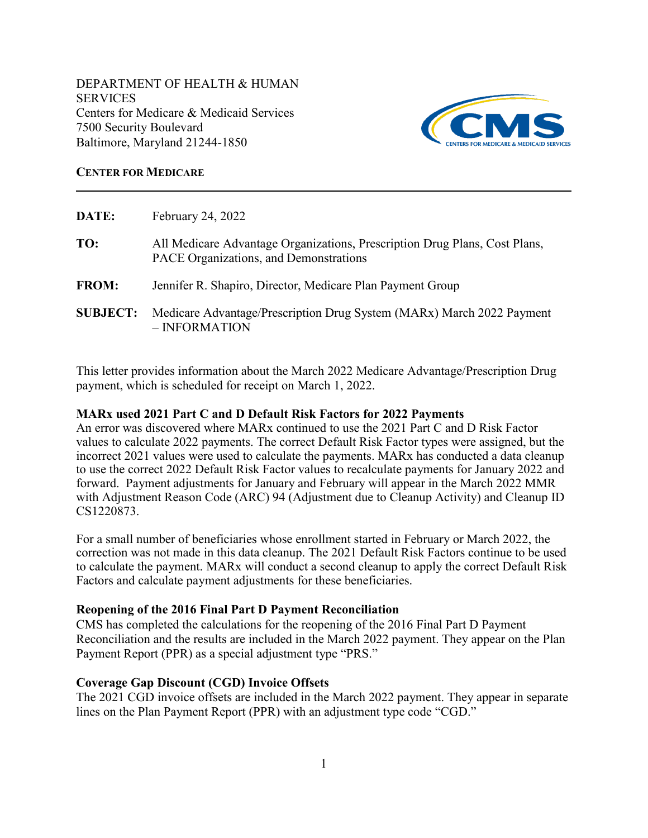7500 Security Boulevard DEPARTMENT OF HEALTH & HUMAN **SERVICES** Centers for Medicare & Medicaid Services Baltimore, Maryland 21244-1850



### **CENTER FOR MEDICARE**

| DATE:           | February 24, 2022                                                                                                    |
|-----------------|----------------------------------------------------------------------------------------------------------------------|
| TO:             | All Medicare Advantage Organizations, Prescription Drug Plans, Cost Plans,<br>PACE Organizations, and Demonstrations |
| <b>FROM:</b>    | Jennifer R. Shapiro, Director, Medicare Plan Payment Group                                                           |
| <b>SUBJECT:</b> | Medicare Advantage/Prescription Drug System (MARx) March 2022 Payment<br>$-$ INFORMATION                             |

This letter provides information about the March 2022 Medicare Advantage/Prescription Drug payment, which is scheduled for receipt on March 1, 2022.

# **MARx used 2021 Part C and D Default Risk Factors for 2022 Payments**

An error was discovered where MARx continued to use the 2021 Part C and D Risk Factor values to calculate 2022 payments. The correct Default Risk Factor types were assigned, but the incorrect 2021 values were used to calculate the payments. MARx has conducted a data cleanup to use the correct 2022 Default Risk Factor values to recalculate payments for January 2022 and forward. Payment adjustments for January and February will appear in the March 2022 MMR with Adjustment Reason Code (ARC) 94 (Adjustment due to Cleanup Activity) and Cleanup ID CS1220873.

For a small number of beneficiaries whose enrollment started in February or March 2022, the correction was not made in this data cleanup. The 2021 Default Risk Factors continue to be used to calculate the payment. MARx will conduct a second cleanup to apply the correct Default Risk Factors and calculate payment adjustments for these beneficiaries.

# **Reopening of the 2016 Final Part D Payment Reconciliation**

CMS has completed the calculations for the reopening of the 2016 Final Part D Payment Reconciliation and the results are included in the March 2022 payment. They appear on the Plan Payment Report (PPR) as a special adjustment type "PRS."

### **Coverage Gap Discount (CGD) Invoice Offsets**

The 2021 CGD invoice offsets are included in the March 2022 payment. They appear in separate lines on the Plan Payment Report (PPR) with an adjustment type code "CGD."